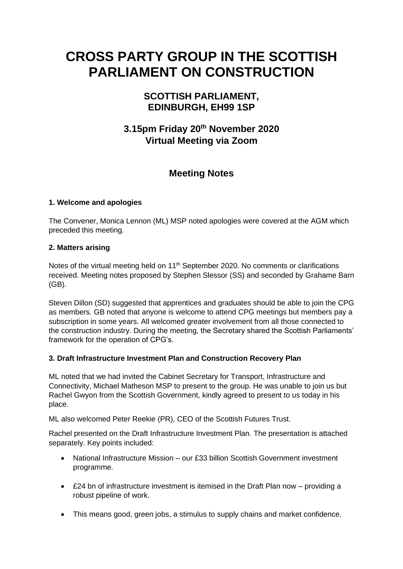# **CROSS PARTY GROUP IN THE SCOTTISH PARLIAMENT ON CONSTRUCTION**

## **SCOTTISH PARLIAMENT, EDINBURGH, EH99 1SP**

# **3.15pm Friday 20 th November 2020 Virtual Meeting via Zoom**

## **Meeting Notes**

#### **1. Welcome and apologies**

The Convener, Monica Lennon (ML) MSP noted apologies were covered at the AGM which preceded this meeting.

#### **2. Matters arising**

Notes of the virtual meeting held on 11<sup>th</sup> September 2020. No comments or clarifications received. Meeting notes proposed by Stephen Slessor (SS) and seconded by Grahame Barn (GB).

Steven Dillon (SD) suggested that apprentices and graduates should be able to join the CPG as members. GB noted that anyone is welcome to attend CPG meetings but members pay a subscription in some years. All welcomed greater involvement from all those connected to the construction industry. During the meeting, the Secretary shared the Scottish Parliaments' framework for the operation of CPG's.

## **3. Draft Infrastructure Investment Plan and Construction Recovery Plan**

ML noted that we had invited the Cabinet Secretary for Transport, Infrastructure and Connectivity, Michael Matheson MSP to present to the group. He was unable to join us but Rachel Gwyon from the Scottish Government, kindly agreed to present to us today in his place.

ML also welcomed Peter Reekie (PR), CEO of the Scottish Futures Trust.

Rachel presented on the Draft Infrastructure Investment Plan. The presentation is attached separately. Key points included:

- National Infrastructure Mission our £33 billion Scottish Government investment programme.
- £24 bn of infrastructure investment is itemised in the Draft Plan now providing a robust pipeline of work.
- This means good, green jobs, a stimulus to supply chains and market confidence.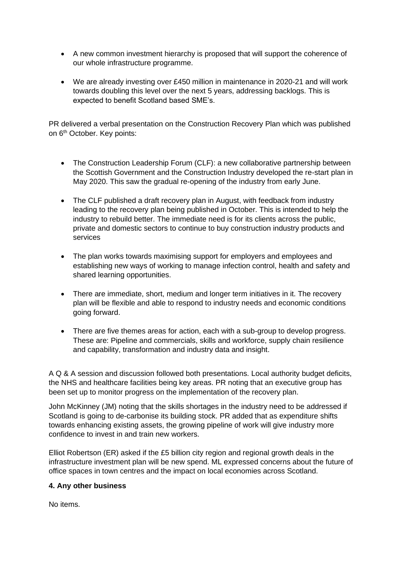- A new common investment hierarchy is proposed that will support the coherence of our whole infrastructure programme.
- We are already investing over £450 million in maintenance in 2020-21 and will work towards doubling this level over the next 5 years, addressing backlogs. This is expected to benefit Scotland based SME's.

PR delivered a verbal presentation on the Construction Recovery Plan which was published on 6<sup>th</sup> October. Key points:

- The Construction Leadership Forum (CLF): a new collaborative partnership between the Scottish Government and the Construction Industry developed the re-start plan in May 2020. This saw the gradual re-opening of the industry from early June.
- The CLF published a draft recovery plan in August, with feedback from industry leading to the recovery plan being published in October. This is intended to help the industry to rebuild better. The immediate need is for its clients across the public, private and domestic sectors to continue to buy construction industry products and services
- The plan works towards maximising support for employers and employees and establishing new ways of working to manage infection control, health and safety and shared learning opportunities.
- There are immediate, short, medium and longer term initiatives in it. The recovery plan will be flexible and able to respond to industry needs and economic conditions going forward.
- There are five themes areas for action, each with a sub-group to develop progress. These are: Pipeline and commercials, skills and workforce, supply chain resilience and capability, transformation and industry data and insight.

A Q & A session and discussion followed both presentations. Local authority budget deficits, the NHS and healthcare facilities being key areas. PR noting that an executive group has been set up to monitor progress on the implementation of the recovery plan.

John McKinney (JM) noting that the skills shortages in the industry need to be addressed if Scotland is going to de-carbonise its building stock. PR added that as expenditure shifts towards enhancing existing assets, the growing pipeline of work will give industry more confidence to invest in and train new workers.

Elliot Robertson (ER) asked if the £5 billion city region and regional growth deals in the infrastructure investment plan will be new spend. ML expressed concerns about the future of office spaces in town centres and the impact on local economies across Scotland.

#### **4. Any other business**

No items.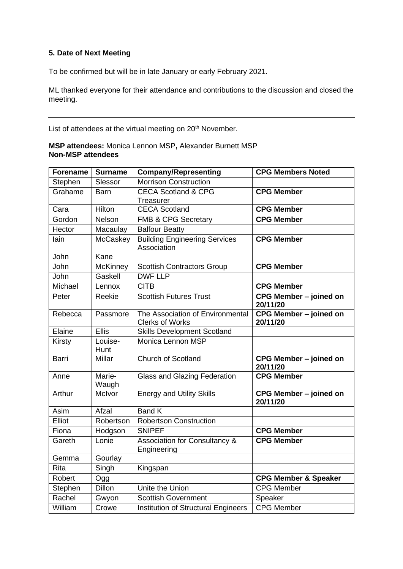## **5. Date of Next Meeting**

To be confirmed but will be in late January or early February 2021.

ML thanked everyone for their attendance and contributions to the discussion and closed the meeting.

List of attendees at the virtual meeting on 20<sup>th</sup> November.

**MSP attendees:** Monica Lennon MSP**,** Alexander Burnett MSP **Non-MSP attendees** 

| <b>Forename</b> | <b>Surname</b>  | <b>Company/Representing</b>                         | <b>CPG Members Noted</b>           |
|-----------------|-----------------|-----------------------------------------------------|------------------------------------|
| Stephen         | Slessor         | <b>Morrison Construction</b>                        |                                    |
| Grahame         | <b>Barn</b>     | <b>CECA Scotland &amp; CPG</b>                      | <b>CPG Member</b>                  |
|                 |                 | Treasurer                                           |                                    |
| Cara            | Hilton          | <b>CECA Scotland</b>                                | <b>CPG Member</b>                  |
| Gordon          | Nelson          | <b>FMB &amp; CPG Secretary</b>                      | <b>CPG Member</b>                  |
| Hector          | Macaulay        | <b>Balfour Beatty</b>                               |                                    |
| lain            | McCaskey        | <b>Building Engineering Services</b><br>Association | <b>CPG Member</b>                  |
| John            | Kane            |                                                     |                                    |
| John            | McKinney        | <b>Scottish Contractors Group</b>                   | <b>CPG Member</b>                  |
| John            | Gaskell         | <b>DWF LLP</b>                                      |                                    |
| Michael         | Lennox          | <b>CITB</b>                                         | <b>CPG Member</b>                  |
| Peter           | Reekie          | <b>Scottish Futures Trust</b>                       | CPG Member - joined on<br>20/11/20 |
| Rebecca         | Passmore        | The Association of Environmental                    | CPG Member - joined on             |
|                 |                 | Clerks of Works                                     | 20/11/20                           |
| Elaine          | <b>Ellis</b>    | <b>Skills Development Scotland</b>                  |                                    |
| <b>Kirsty</b>   | Louise-<br>Hunt | <b>Monica Lennon MSP</b>                            |                                    |
| <b>Barri</b>    | Millar          | <b>Church of Scotland</b>                           | CPG Member - joined on<br>20/11/20 |
| Anne            | Marie-<br>Waugh | <b>Glass and Glazing Federation</b>                 | <b>CPG Member</b>                  |
| Arthur          | McIvor          | <b>Energy and Utility Skills</b>                    | CPG Member - joined on<br>20/11/20 |
| Asim            | Afzal           | <b>Band K</b>                                       |                                    |
| Elliot          | Robertson       | <b>Robertson Construction</b>                       |                                    |
| Fiona           | Hodgson         | <b>SNIPEF</b>                                       | <b>CPG Member</b>                  |
| Gareth          | Lonie           | Association for Consultancy &<br>Engineering        | <b>CPG Member</b>                  |
| Gemma           | Gourlay         |                                                     |                                    |
| Rita            | Singh           | Kingspan                                            |                                    |
| Robert          | Ogg             |                                                     | <b>CPG Member &amp; Speaker</b>    |
| Stephen         | <b>Dillon</b>   | Unite the Union                                     | <b>CPG Member</b>                  |
| Rachel          | Gwyon           | <b>Scottish Government</b>                          | Speaker                            |
| William         | Crowe           | Institution of Structural Engineers                 | <b>CPG</b> Member                  |